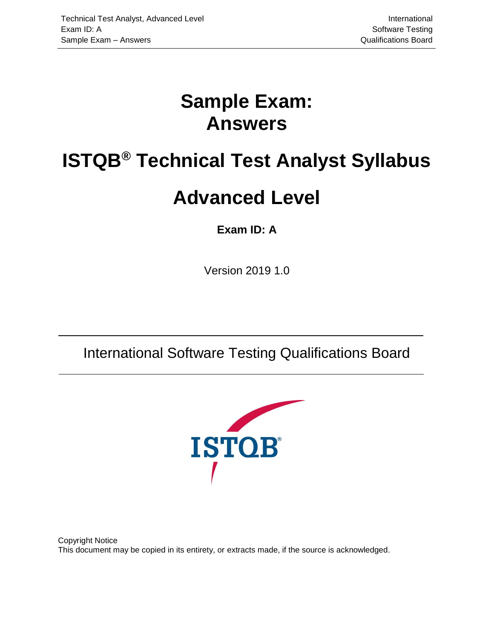# <span id="page-0-3"></span>**Sample Exam: Answers**

# <span id="page-0-4"></span><span id="page-0-1"></span>**ISTQB® Technical Test Analyst Syllabus**

# <span id="page-0-0"></span>**Advanced Level**

### <span id="page-0-2"></span>**Exam ID: A**

Version 2019 1.0

International Software Testing Qualifications Board



Copyright Notice This document may be copied in its entirety, or extracts made, if the source is acknowledged.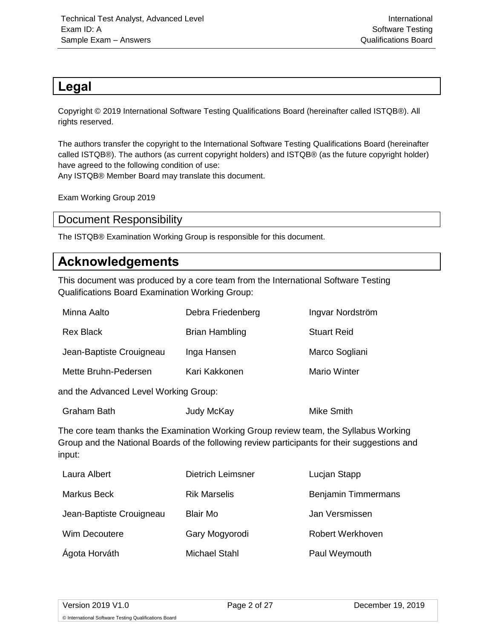#### <span id="page-1-0"></span>**Legal**

Copyright © 2019 International Software Testing Qualifications Board (hereinafter called ISTQB®). All rights reserved.

The authors transfer the copyright to the International Software Testing Qualifications Board (hereinafter called ISTQB®). The authors (as current copyright holders) and ISTQB® (as the future copyright holder) have agreed to the following condition of use: Any ISTQB® Member Board may translate this document.

Exam Working Group 2019

#### <span id="page-1-1"></span>Document Responsibility

The ISTQB® Examination Working Group is responsible for this document.

#### <span id="page-1-2"></span>**Acknowledgements**

This document was produced by a core team from the International Software Testing Qualifications Board Examination Working Group:

| Debra Friedenberg     | Ingvar Nordström    |
|-----------------------|---------------------|
| <b>Brian Hambling</b> | <b>Stuart Reid</b>  |
| Inga Hansen           | Marco Sogliani      |
| Kari Kakkonen         | <b>Mario Winter</b> |
|                       |                     |

and the Advanced Level Working Group:

| <b>Graham Bath</b> | Judy McKay | <b>Mike Smith</b> |
|--------------------|------------|-------------------|
|--------------------|------------|-------------------|

The core team thanks the Examination Working Group review team, the Syllabus Working Group and the National Boards of the following review participants for their suggestions and input:

| Laura Albert             | <b>Dietrich Leimsner</b> | Lucjan Stapp               |
|--------------------------|--------------------------|----------------------------|
| Markus Beck              | <b>Rik Marselis</b>      | <b>Benjamin Timmermans</b> |
| Jean-Baptiste Crouigneau | <b>Blair Mo</b>          | Jan Versmissen             |
| Wim Decoutere            | Gary Mogyorodi           | Robert Werkhoven           |
| Ágota Horváth            | Michael Stahl            | Paul Weymouth              |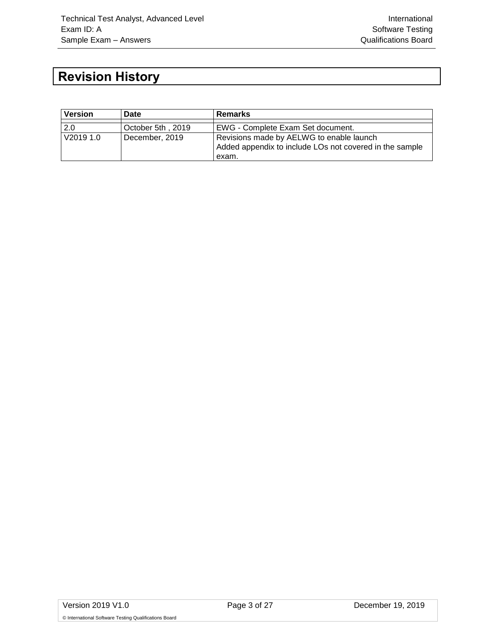## <span id="page-2-0"></span>**Revision History**

| <b>Version</b> | Date              | <b>Remarks</b>                                          |
|----------------|-------------------|---------------------------------------------------------|
|                |                   |                                                         |
| 2.0            | October 5th, 2019 | EWG - Complete Exam Set document.                       |
| V2019 1.0      | December, 2019    | Revisions made by AELWG to enable launch                |
|                |                   | Added appendix to include LOs not covered in the sample |
|                |                   | exam.                                                   |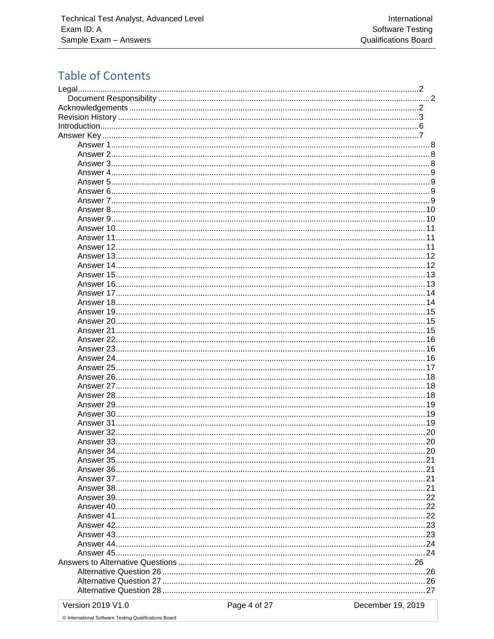### **Table of Contents**

| Answer 5   |    |
|------------|----|
|            |    |
|            |    |
|            |    |
| Answer 9   |    |
|            |    |
|            |    |
|            |    |
|            |    |
|            |    |
|            |    |
|            |    |
|            |    |
|            | 14 |
|            |    |
|            |    |
| Answer 21  |    |
|            |    |
|            |    |
|            |    |
|            |    |
|            |    |
|            |    |
|            |    |
|            |    |
|            |    |
|            |    |
|            |    |
| Answer 32. |    |
|            |    |
|            |    |
|            |    |
|            |    |
|            |    |
|            |    |
|            |    |
|            |    |
|            |    |
|            |    |
|            |    |
|            |    |
|            |    |
|            |    |
|            |    |
|            |    |
|            |    |
|            |    |

Version 2019 V1.0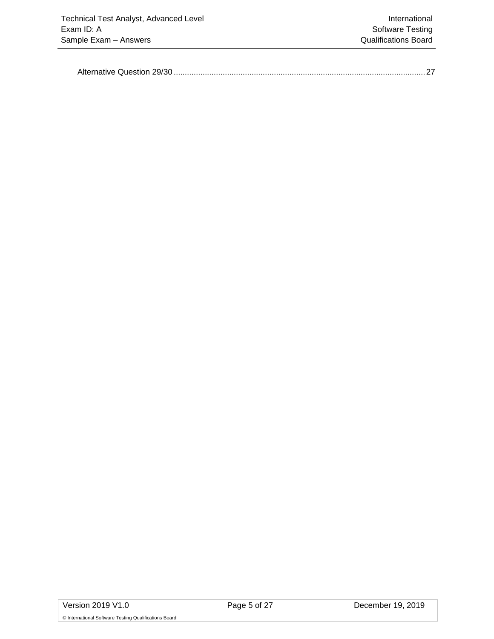|--|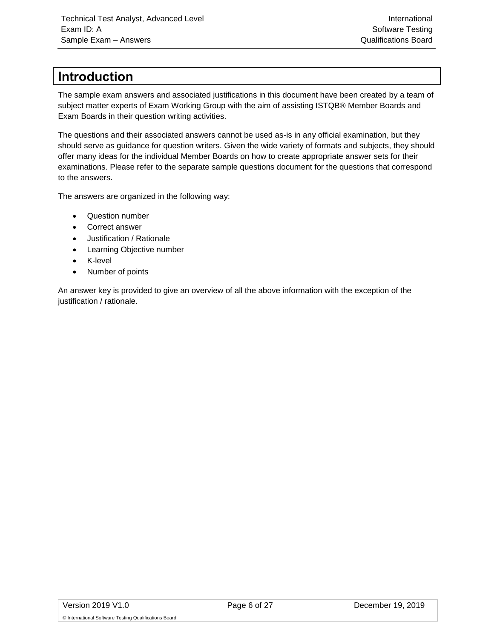#### <span id="page-5-0"></span>**Introduction**

The sample exam answers and associated justifications in this document have been created by a team of subject matter experts of Exam Working Group with the aim of assisting ISTQB® Member Boards and Exam Boards in their question writing activities.

The questions and their associated answers cannot be used as-is in any official examination, but they should serve as guidance for question writers. Given the wide variety of formats and subjects, they should offer many ideas for the individual Member Boards on how to create appropriate answer sets for their examinations. Please refer to the separate sample questions document for the questions that correspond to the answers.

The answers are organized in the following way:

- Question number
- Correct answer
- Justification / Rationale
- Learning Objective number
- K-level
- Number of points

An answer key is provided to give an overview of all the above information with the exception of the justification / rationale.

© International Software Testing Qualifications Board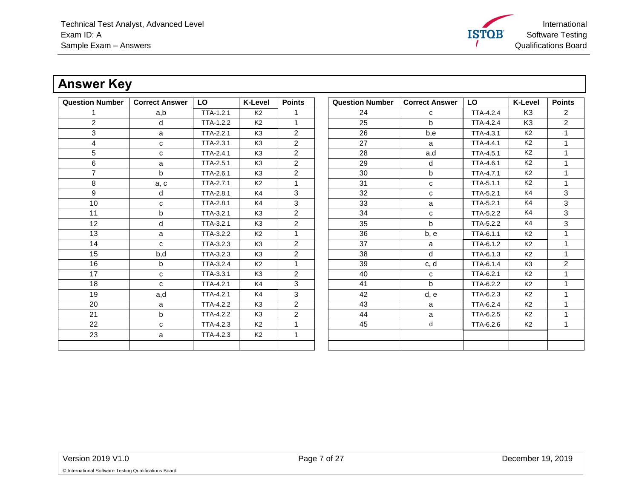International **ISTOB** Software Testing Qualifications Board

### **Answer Key**

<span id="page-6-0"></span>

| <b>Question Number</b> | <b>Correct Answer</b> | LO        | <b>K-Level</b> | <b>Points</b>  | <b>Question Number</b> | <b>Correct Answer</b> | LO               | <b>K-Level</b> | <b>Points</b>        |
|------------------------|-----------------------|-----------|----------------|----------------|------------------------|-----------------------|------------------|----------------|----------------------|
|                        | a,b                   | TTA-1.2.1 | K2             | 1.             | 24                     | C                     | TTA-4.2.4        | K <sub>3</sub> | 2                    |
| $\overline{2}$         | d                     | TTA-1.2.2 | K <sub>2</sub> | $\mathbf{1}$   | $\overline{25}$        | $\mathsf{b}$          | TTA-4.2.4        | K <sub>3</sub> | $\overline{2}$       |
| 3                      | a                     | TTA-2.2.1 | K <sub>3</sub> | $\overline{2}$ | 26                     | b.e                   | TTA-4.3.1        | K <sub>2</sub> | $\blacktriangleleft$ |
| 4                      | C                     | TTA-2.3.1 | K <sub>3</sub> | $\overline{2}$ | 27                     | a                     | <b>TTA-4.4.1</b> | K <sub>2</sub> | $\overline{1}$       |
| 5                      | C                     | TTA-2.4.1 | K <sub>3</sub> | $\overline{2}$ | 28                     | a,d                   | <b>TTA-4.5.1</b> | K <sub>2</sub> | $\overline{1}$       |
| 6                      | a                     | TTA-2.5.1 | K <sub>3</sub> | $\overline{2}$ | 29                     | d                     | TTA-4.6.1        | K <sub>2</sub> | $\mathbf{1}$         |
| $\overline{7}$         | b                     | TTA-2.6.1 | K <sub>3</sub> | $\overline{2}$ | 30                     | b                     | TTA-4.7.1        | K <sub>2</sub> | $\overline{1}$       |
| 8                      | a, c                  | TTA-2.7.1 | K <sub>2</sub> | $\mathbf{1}$   | 31                     | C                     | TTA-5.1.1        | K <sub>2</sub> | $\mathbf{1}$         |
| 9                      | d                     | TTA-2.8.1 | K4             | 3              | 32                     | C                     | TTA-5.2.1        | K4             | 3                    |
| 10                     | C                     | TTA-2.8.1 | K4             | 3              | 33                     | a                     | TTA-5.2.1        | K4             | 3                    |
| 11                     | b                     | TTA-3.2.1 | K <sub>3</sub> | $\overline{2}$ | 34                     | C                     | TTA-5.2.2        | K4             | 3                    |
| 12                     | d                     | TTA-3.2.1 | K <sub>3</sub> | $\overline{2}$ | 35                     | $\mathsf{b}$          | TTA-5.2.2        | K4             | 3                    |
| 13                     | a                     | TTA-3.2.2 | K2             | $\mathbf 1$    | 36                     | b, e                  | TTA-6.1.1        | K <sub>2</sub> | $\mathbf{1}$         |
| 14                     | C                     | TTA-3.2.3 | K <sub>3</sub> | $\overline{2}$ | 37                     | a                     | TTA-6.1.2        | K <sub>2</sub> | 1                    |
| 15                     | b,d                   | TTA-3.2.3 | K <sub>3</sub> | $\overline{2}$ | 38                     | d                     | TTA-6.1.3        | K <sub>2</sub> | $\mathbf{1}$         |
| 16                     | b                     | TTA-3.2.4 | K <sub>2</sub> | 1              | 39                     | c, d                  | TTA-6.1.4        | K3             | $\overline{2}$       |
| 17                     | $\mathbf{C}$          | TTA-3.3.1 | K3             | $\overline{2}$ | 40                     | C                     | TTA-6.2.1        | K <sub>2</sub> | 1                    |
| 18                     | C                     | TTA-4.2.1 | K4             | 3              | 41                     | $\mathsf{b}$          | TTA-6.2.2        | K <sub>2</sub> | $\mathbf{1}$         |
| 19                     | a,d                   | TTA-4.2.1 | K4             | 3              | 42                     | d, e                  | TTA-6.2.3        | K <sub>2</sub> | $\mathbf 1$          |
| 20                     | a                     | TTA-4.2.2 | K <sub>3</sub> | $\overline{2}$ | 43                     | a                     | TTA-6.2.4        | K <sub>2</sub> | 1                    |
| 21                     | b                     | TTA-4.2.2 | K <sub>3</sub> | $\overline{2}$ | 44                     | a                     | TTA-6.2.5        | K <sub>2</sub> | 1                    |
| 22                     | $\mathbf{C}$          | TTA-4.2.3 | K <sub>2</sub> | $\mathbf{1}$   | 45                     | d                     | TTA-6.2.6        | K <sub>2</sub> | $\mathbf{1}$         |
| 23                     | a                     | TTA-4.2.3 | K2             | $\mathbf{1}$   |                        |                       |                  |                |                      |
|                        |                       |           |                |                |                        |                       |                  |                |                      |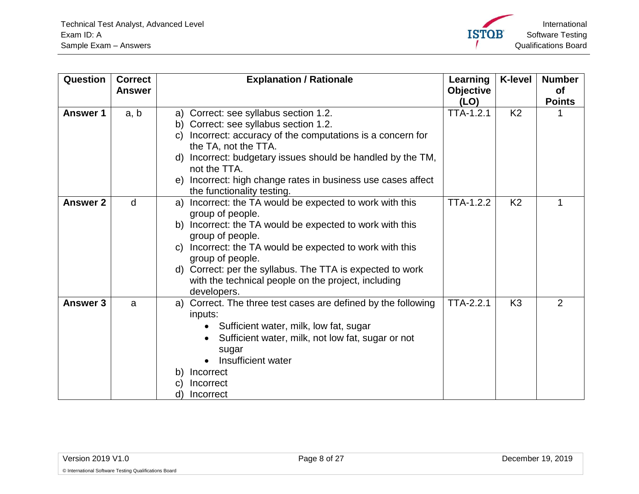

<span id="page-7-2"></span><span id="page-7-1"></span><span id="page-7-0"></span>

| Question        | <b>Correct</b> | <b>Explanation / Rationale</b>                                                                                                                                                                                                                                                                                                                                                     | Learning                 | <b>K-level</b> | <b>Number</b><br><b>of</b> |
|-----------------|----------------|------------------------------------------------------------------------------------------------------------------------------------------------------------------------------------------------------------------------------------------------------------------------------------------------------------------------------------------------------------------------------------|--------------------------|----------------|----------------------------|
|                 | <b>Answer</b>  |                                                                                                                                                                                                                                                                                                                                                                                    | <b>Objective</b><br>(LO) |                | <b>Points</b>              |
| <b>Answer 1</b> | a, b           | a) Correct: see syllabus section 1.2.<br>Correct: see syllabus section 1.2.<br>b)<br>Incorrect: accuracy of the computations is a concern for<br>C)<br>the TA, not the TTA.<br>d) Incorrect: budgetary issues should be handled by the TM,<br>not the TTA.<br>Incorrect: high change rates in business use cases affect<br>e)<br>the functionality testing.                        | <b>TTA-1.2.1</b>         | K <sub>2</sub> |                            |
| <b>Answer 2</b> | d              | Incorrect: the TA would be expected to work with this<br>a)<br>group of people.<br>b) Incorrect: the TA would be expected to work with this<br>group of people.<br>c) Incorrect: the TA would be expected to work with this<br>group of people.<br>d) Correct: per the syllabus. The TTA is expected to work<br>with the technical people on the project, including<br>developers. | <b>TTA-1.2.2</b>         | K <sub>2</sub> | 1                          |
| <b>Answer 3</b> | a              | Correct. The three test cases are defined by the following<br>a)<br>inputs:<br>Sufficient water, milk, low fat, sugar<br>Sufficient water, milk, not low fat, sugar or not<br>sugar<br>Insufficient water<br>Incorrect<br>b)<br>Incorrect<br>d)<br>Incorrect                                                                                                                       | <b>TTA-2.2.1</b>         | K <sub>3</sub> | 2                          |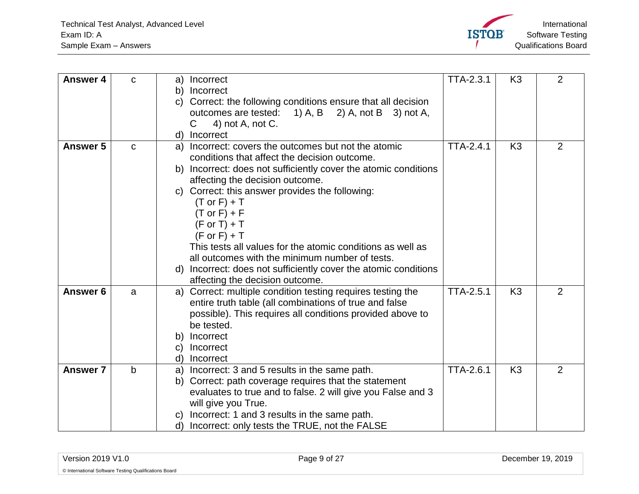

<span id="page-8-3"></span><span id="page-8-2"></span><span id="page-8-1"></span><span id="page-8-0"></span>

| <b>Answer 4</b>     | $\mathbf C$  | Incorrect<br>a)<br>b)<br>Incorrect<br>Correct: the following conditions ensure that all decision<br>C)<br>outcomes are tested: 1) A, B 2) A, not B 3) not A,<br>C<br>4) not A, not C.<br>Incorrect<br>d)                                                                                                                                                                                                                                                                                                                                                                                                 | <b>TTA-2.3.1</b> | K <sub>3</sub> | $\overline{2}$ |
|---------------------|--------------|----------------------------------------------------------------------------------------------------------------------------------------------------------------------------------------------------------------------------------------------------------------------------------------------------------------------------------------------------------------------------------------------------------------------------------------------------------------------------------------------------------------------------------------------------------------------------------------------------------|------------------|----------------|----------------|
| <b>Answer 5</b>     | $\mathbf C$  | Incorrect: covers the outcomes but not the atomic<br>a)<br>conditions that affect the decision outcome.<br>Incorrect: does not sufficiently cover the atomic conditions<br>b)<br>affecting the decision outcome.<br>c) Correct: this answer provides the following:<br>$(T \text{ or } F) + T$<br>$(T \text{ or } F) + F$<br>$(F \text{ or } T) + T$<br>$(F \text{ or } F) + T$<br>This tests all values for the atomic conditions as well as<br>all outcomes with the minimum number of tests.<br>Incorrect: does not sufficiently cover the atomic conditions<br>d)<br>affecting the decision outcome. | <b>TTA-2.4.1</b> | K <sub>3</sub> | $\overline{2}$ |
| Answer <sub>6</sub> | a            | Correct: multiple condition testing requires testing the<br>a)<br>entire truth table (all combinations of true and false<br>possible). This requires all conditions provided above to<br>be tested.<br>Incorrect<br>b)<br>Incorrect<br>$\mathsf{C}$<br>Incorrect<br>d)                                                                                                                                                                                                                                                                                                                                   | <b>TTA-2.5.1</b> | K <sub>3</sub> | $\overline{2}$ |
| <b>Answer 7</b>     | $\mathsf{b}$ | Incorrect: 3 and 5 results in the same path.<br>a)<br>Correct: path coverage requires that the statement<br>b)<br>evaluates to true and to false. 2 will give you False and 3<br>will give you True.<br>Incorrect: 1 and 3 results in the same path.<br>C)<br>Incorrect: only tests the TRUE, not the FALSE<br>d)                                                                                                                                                                                                                                                                                        | <b>TTA-2.6.1</b> | K <sub>3</sub> | $\overline{2}$ |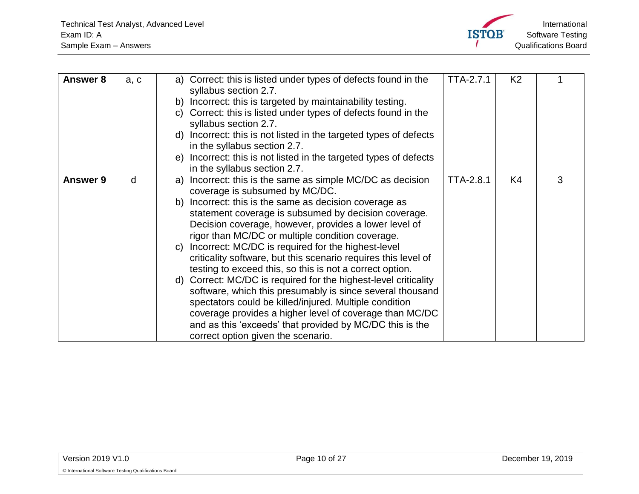

<span id="page-9-1"></span><span id="page-9-0"></span>

| <b>Answer 8</b> | a, c | a) Correct: this is listed under types of defects found in the<br>syllabus section 2.7. | <b>TTA-2.7.1</b> | K <sub>2</sub> |   |
|-----------------|------|-----------------------------------------------------------------------------------------|------------------|----------------|---|
|                 |      | Incorrect: this is targeted by maintainability testing.<br>b)                           |                  |                |   |
|                 |      | Correct: this is listed under types of defects found in the<br>C)                       |                  |                |   |
|                 |      | syllabus section 2.7.                                                                   |                  |                |   |
|                 |      | Incorrect: this is not listed in the targeted types of defects<br>d)                    |                  |                |   |
|                 |      | in the syllabus section 2.7.                                                            |                  |                |   |
|                 |      | Incorrect: this is not listed in the targeted types of defects<br>e)                    |                  |                |   |
|                 |      | in the syllabus section 2.7.                                                            |                  |                |   |
| Answer 9        | d    | Incorrect: this is the same as simple MC/DC as decision<br>a)                           | <b>TTA-2.8.1</b> | K4             | 3 |
|                 |      | coverage is subsumed by MC/DC.                                                          |                  |                |   |
|                 |      | Incorrect: this is the same as decision coverage as<br>b)                               |                  |                |   |
|                 |      | statement coverage is subsumed by decision coverage.                                    |                  |                |   |
|                 |      | Decision coverage, however, provides a lower level of                                   |                  |                |   |
|                 |      | rigor than MC/DC or multiple condition coverage.                                        |                  |                |   |
|                 |      | Incorrect: MC/DC is required for the highest-level<br>C)                                |                  |                |   |
|                 |      | criticality software, but this scenario requires this level of                          |                  |                |   |
|                 |      | testing to exceed this, so this is not a correct option.                                |                  |                |   |
|                 |      | d) Correct: MC/DC is required for the highest-level criticality                         |                  |                |   |
|                 |      | software, which this presumably is since several thousand                               |                  |                |   |
|                 |      | spectators could be killed/injured. Multiple condition                                  |                  |                |   |
|                 |      | coverage provides a higher level of coverage than MC/DC                                 |                  |                |   |
|                 |      | and as this 'exceeds' that provided by MC/DC this is the                                |                  |                |   |
|                 |      | correct option given the scenario.                                                      |                  |                |   |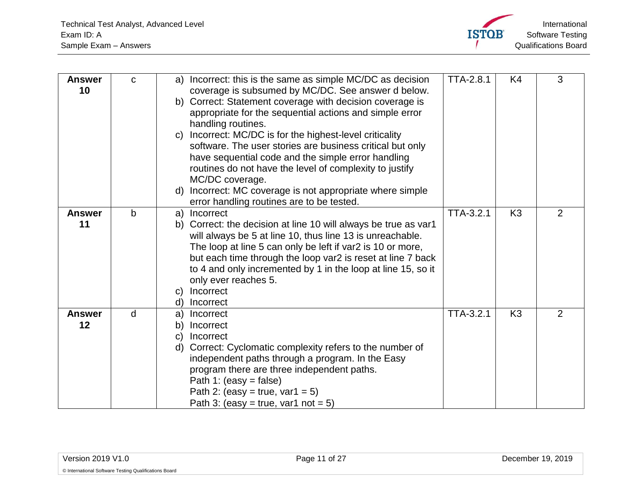

<span id="page-10-2"></span><span id="page-10-1"></span><span id="page-10-0"></span>

| <b>Answer</b><br>10 | $\mathbf C$  | Incorrect: this is the same as simple MC/DC as decision<br>a)<br>coverage is subsumed by MC/DC. See answer d below.<br>Correct: Statement coverage with decision coverage is<br>b)<br>appropriate for the sequential actions and simple error<br>handling routines.<br>Incorrect: MC/DC is for the highest-level criticality<br>$\mathsf{C}$<br>software. The user stories are business critical but only<br>have sequential code and the simple error handling<br>routines do not have the level of complexity to justify<br>MC/DC coverage.<br>Incorrect: MC coverage is not appropriate where simple<br>d)<br>error handling routines are to be tested. | <b>TTA-2.8.1</b> | K <sub>4</sub> | 3              |
|---------------------|--------------|------------------------------------------------------------------------------------------------------------------------------------------------------------------------------------------------------------------------------------------------------------------------------------------------------------------------------------------------------------------------------------------------------------------------------------------------------------------------------------------------------------------------------------------------------------------------------------------------------------------------------------------------------------|------------------|----------------|----------------|
| <b>Answer</b><br>11 | $\mathsf{b}$ | Incorrect<br>a)<br>Correct: the decision at line 10 will always be true as var1<br>b)<br>will always be 5 at line 10, thus line 13 is unreachable.<br>The loop at line 5 can only be left if var2 is 10 or more,<br>but each time through the loop var2 is reset at line 7 back<br>to 4 and only incremented by 1 in the loop at line 15, so it<br>only ever reaches 5.<br>Incorrect<br>C)<br>Incorrect<br>d)                                                                                                                                                                                                                                              | <b>TTA-3.2.1</b> | K <sub>3</sub> | 2              |
| <b>Answer</b><br>12 | d            | Incorrect<br>a)<br>Incorrect<br>b)<br>Incorrect<br>C)<br>Correct: Cyclomatic complexity refers to the number of<br>d)<br>independent paths through a program. In the Easy<br>program there are three independent paths.<br>Path 1: (easy = false)<br>Path 2: (easy = true, var1 = 5)<br>Path 3: (easy = true, var1 not = 5)                                                                                                                                                                                                                                                                                                                                | <b>TTA-3.2.1</b> | K <sub>3</sub> | $\overline{2}$ |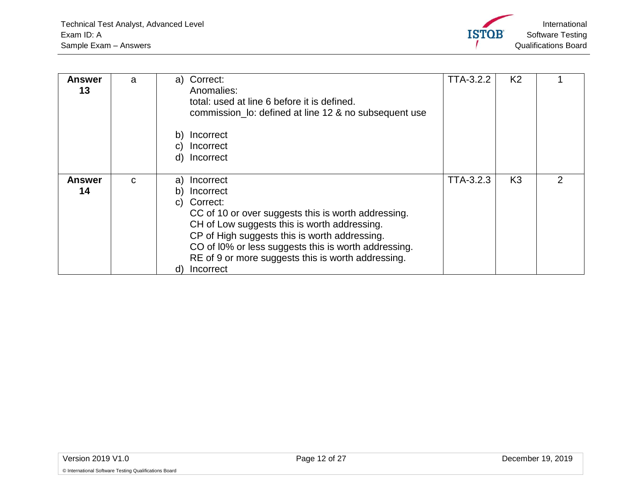

<span id="page-11-1"></span><span id="page-11-0"></span>

| Answer<br>13        | a            | Correct:<br>a)<br>Anomalies:<br>total: used at line 6 before it is defined.<br>commission_lo: defined at line 12 & no subsequent use<br>Incorrect<br>b)<br>Incorrect<br>C)<br>Incorrect<br>d)                                                                                                                              | <b>TTA-3.2.2</b> | K <sub>2</sub> |   |
|---------------------|--------------|----------------------------------------------------------------------------------------------------------------------------------------------------------------------------------------------------------------------------------------------------------------------------------------------------------------------------|------------------|----------------|---|
|                     |              |                                                                                                                                                                                                                                                                                                                            |                  |                |   |
| <b>Answer</b><br>14 | $\mathbf{C}$ | Incorrect<br>a)<br>Incorrect<br>b)<br>Correct:<br>C)<br>CC of 10 or over suggests this is worth addressing.<br>CH of Low suggests this is worth addressing.<br>CP of High suggests this is worth addressing.<br>CO of I0% or less suggests this is worth addressing.<br>RE of 9 or more suggests this is worth addressing. | TTA-3.2.3        | K <sub>3</sub> | 2 |
|                     |              | Incorrect<br>d)                                                                                                                                                                                                                                                                                                            |                  |                |   |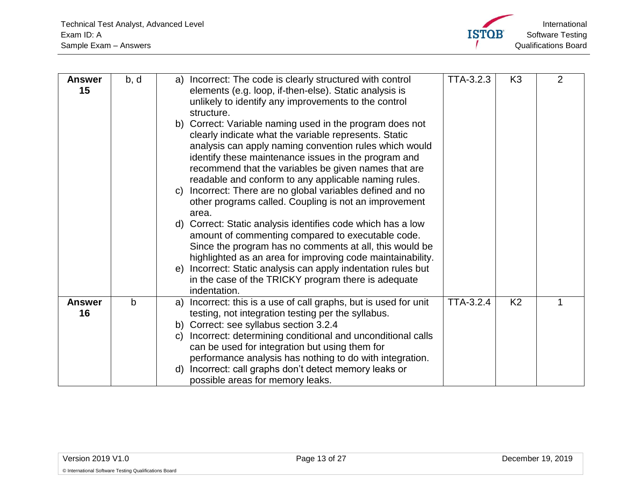

<span id="page-12-1"></span><span id="page-12-0"></span>

| <b>Answer</b><br>15 | b, d | Incorrect: The code is clearly structured with control<br>a)<br>elements (e.g. loop, if-then-else). Static analysis is<br>unlikely to identify any improvements to the control<br>structure.<br>b) Correct: Variable naming used in the program does not<br>clearly indicate what the variable represents. Static<br>analysis can apply naming convention rules which would<br>identify these maintenance issues in the program and<br>recommend that the variables be given names that are<br>readable and conform to any applicable naming rules.<br>Incorrect: There are no global variables defined and no<br>C)<br>other programs called. Coupling is not an improvement<br>area.<br>d) Correct: Static analysis identifies code which has a low<br>amount of commenting compared to executable code.<br>Since the program has no comments at all, this would be<br>highlighted as an area for improving code maintainability.<br>Incorrect: Static analysis can apply indentation rules but<br>e)<br>in the case of the TRICKY program there is adequate<br>indentation. | <b>TTA-3.2.3</b> | K <sub>3</sub> | $\overline{2}$ |
|---------------------|------|--------------------------------------------------------------------------------------------------------------------------------------------------------------------------------------------------------------------------------------------------------------------------------------------------------------------------------------------------------------------------------------------------------------------------------------------------------------------------------------------------------------------------------------------------------------------------------------------------------------------------------------------------------------------------------------------------------------------------------------------------------------------------------------------------------------------------------------------------------------------------------------------------------------------------------------------------------------------------------------------------------------------------------------------------------------------------------|------------------|----------------|----------------|
| <b>Answer</b><br>16 | b    | Incorrect: this is a use of call graphs, but is used for unit<br>a)<br>testing, not integration testing per the syllabus.<br>b) Correct: see syllabus section 3.2.4<br>Incorrect: determining conditional and unconditional calls<br>$\mathsf{C}$<br>can be used for integration but using them for<br>performance analysis has nothing to do with integration.<br>Incorrect: call graphs don't detect memory leaks or<br>d)<br>possible areas for memory leaks.                                                                                                                                                                                                                                                                                                                                                                                                                                                                                                                                                                                                               | <b>TTA-3.2.4</b> | K <sub>2</sub> |                |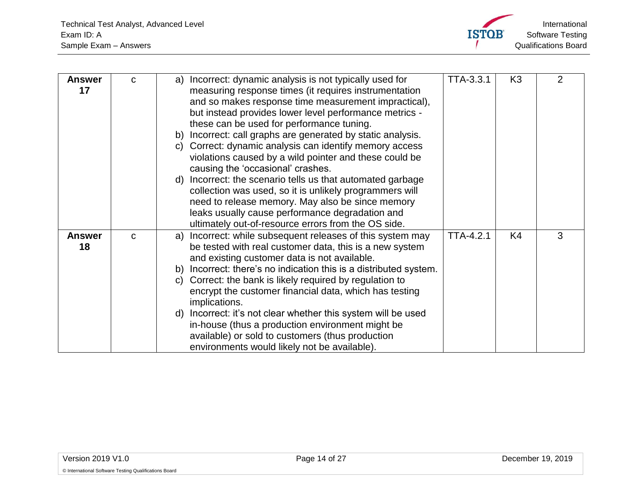

<span id="page-13-1"></span><span id="page-13-0"></span>

| <b>Answer</b><br>17 | $\mathbf C$ | Incorrect: dynamic analysis is not typically used for<br>a)<br>measuring response times (it requires instrumentation<br>and so makes response time measurement impractical),<br>but instead provides lower level performance metrics -<br>these can be used for performance tuning.<br>Incorrect: call graphs are generated by static analysis.<br>b)<br>Correct: dynamic analysis can identify memory access<br>C)<br>violations caused by a wild pointer and these could be<br>causing the 'occasional' crashes.                                                                                                     | TTA-3.3.1        | K <sub>3</sub> | $\overline{2}$ |
|---------------------|-------------|------------------------------------------------------------------------------------------------------------------------------------------------------------------------------------------------------------------------------------------------------------------------------------------------------------------------------------------------------------------------------------------------------------------------------------------------------------------------------------------------------------------------------------------------------------------------------------------------------------------------|------------------|----------------|----------------|
|                     |             | Incorrect: the scenario tells us that automated garbage<br>d)<br>collection was used, so it is unlikely programmers will<br>need to release memory. May also be since memory<br>leaks usually cause performance degradation and<br>ultimately out-of-resource errors from the OS side.                                                                                                                                                                                                                                                                                                                                 |                  |                |                |
| <b>Answer</b><br>18 | $\mathbf C$ | Incorrect: while subsequent releases of this system may<br>a)<br>be tested with real customer data, this is a new system<br>and existing customer data is not available.<br>Incorrect: there's no indication this is a distributed system.<br>b)<br>Correct: the bank is likely required by regulation to<br>C)<br>encrypt the customer financial data, which has testing<br>implications.<br>Incorrect: it's not clear whether this system will be used<br>d)<br>in-house (thus a production environment might be<br>available) or sold to customers (thus production<br>environments would likely not be available). | <b>TTA-4.2.1</b> | K4             | 3              |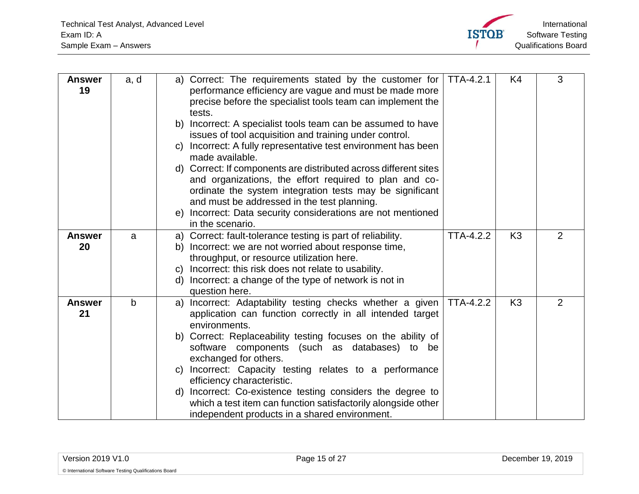

<span id="page-14-2"></span><span id="page-14-1"></span><span id="page-14-0"></span>

| <b>Answer</b><br>19 | a, d        | a) Correct: The requirements stated by the customer for<br>performance efficiency are vague and must be made more<br>precise before the specialist tools team can implement the<br>tests.<br>Incorrect: A specialist tools team can be assumed to have<br>b)<br>issues of tool acquisition and training under control.<br>Incorrect: A fully representative test environment has been<br>C)<br>made available.<br>d) Correct: If components are distributed across different sites<br>and organizations, the effort required to plan and co-<br>ordinate the system integration tests may be significant<br>and must be addressed in the test planning.<br>e) Incorrect: Data security considerations are not mentioned<br>in the scenario. | <b>TTA-4.2.1</b> | K4             | 3              |
|---------------------|-------------|---------------------------------------------------------------------------------------------------------------------------------------------------------------------------------------------------------------------------------------------------------------------------------------------------------------------------------------------------------------------------------------------------------------------------------------------------------------------------------------------------------------------------------------------------------------------------------------------------------------------------------------------------------------------------------------------------------------------------------------------|------------------|----------------|----------------|
| <b>Answer</b>       | a           | a) Correct: fault-tolerance testing is part of reliability.                                                                                                                                                                                                                                                                                                                                                                                                                                                                                                                                                                                                                                                                                 | <b>TTA-4.2.2</b> | K <sub>3</sub> | $\overline{2}$ |
| 20                  |             | b) Incorrect: we are not worried about response time,                                                                                                                                                                                                                                                                                                                                                                                                                                                                                                                                                                                                                                                                                       |                  |                |                |
|                     |             | throughput, or resource utilization here.                                                                                                                                                                                                                                                                                                                                                                                                                                                                                                                                                                                                                                                                                                   |                  |                |                |
|                     |             | Incorrect: this risk does not relate to usability.<br>C)                                                                                                                                                                                                                                                                                                                                                                                                                                                                                                                                                                                                                                                                                    |                  |                |                |
|                     |             | d) Incorrect: a change of the type of network is not in                                                                                                                                                                                                                                                                                                                                                                                                                                                                                                                                                                                                                                                                                     |                  |                |                |
|                     |             | question here.                                                                                                                                                                                                                                                                                                                                                                                                                                                                                                                                                                                                                                                                                                                              |                  | K <sub>3</sub> | 2              |
| <b>Answer</b><br>21 | $\mathbf b$ | a) Incorrect: Adaptability testing checks whether a given<br>application can function correctly in all intended target                                                                                                                                                                                                                                                                                                                                                                                                                                                                                                                                                                                                                      | <b>TTA-4.2.2</b> |                |                |
|                     |             | environments.                                                                                                                                                                                                                                                                                                                                                                                                                                                                                                                                                                                                                                                                                                                               |                  |                |                |
|                     |             | b) Correct: Replaceability testing focuses on the ability of                                                                                                                                                                                                                                                                                                                                                                                                                                                                                                                                                                                                                                                                                |                  |                |                |
|                     |             | software components (such as databases) to be                                                                                                                                                                                                                                                                                                                                                                                                                                                                                                                                                                                                                                                                                               |                  |                |                |
|                     |             | exchanged for others.                                                                                                                                                                                                                                                                                                                                                                                                                                                                                                                                                                                                                                                                                                                       |                  |                |                |
|                     |             | Incorrect: Capacity testing relates to a performance<br>C)                                                                                                                                                                                                                                                                                                                                                                                                                                                                                                                                                                                                                                                                                  |                  |                |                |
|                     |             | efficiency characteristic.                                                                                                                                                                                                                                                                                                                                                                                                                                                                                                                                                                                                                                                                                                                  |                  |                |                |
|                     |             | Incorrect: Co-existence testing considers the degree to<br>d)                                                                                                                                                                                                                                                                                                                                                                                                                                                                                                                                                                                                                                                                               |                  |                |                |
|                     |             | which a test item can function satisfactorily alongside other                                                                                                                                                                                                                                                                                                                                                                                                                                                                                                                                                                                                                                                                               |                  |                |                |
|                     |             | independent products in a shared environment.                                                                                                                                                                                                                                                                                                                                                                                                                                                                                                                                                                                                                                                                                               |                  |                |                |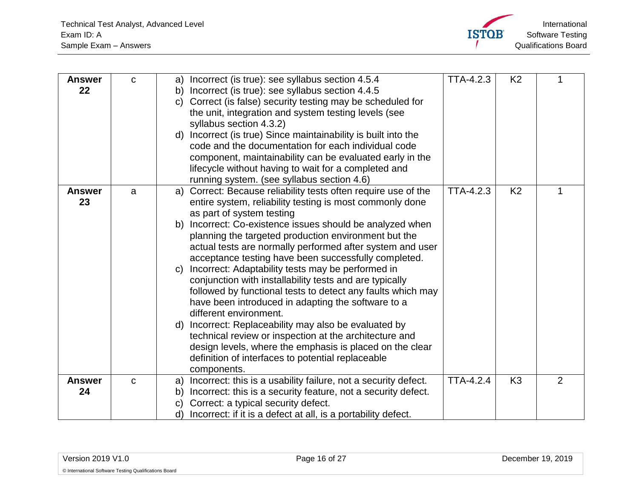

<span id="page-15-2"></span><span id="page-15-1"></span><span id="page-15-0"></span>

| <b>Answer</b><br>22 | C           | Incorrect (is true): see syllabus section 4.5.4<br>a)<br>Incorrect (is true): see syllabus section 4.4.5<br>b)<br>Correct (is false) security testing may be scheduled for<br>$\mathsf{C}$<br>the unit, integration and system testing levels (see<br>syllabus section 4.3.2)<br>d) Incorrect (is true) Since maintainability is built into the<br>code and the documentation for each individual code<br>component, maintainability can be evaluated early in the                                                                                                                                                                                                                                                                                                                                                                                                                                                                 | TTA-4.2.3        | K <sub>2</sub> |   |
|---------------------|-------------|------------------------------------------------------------------------------------------------------------------------------------------------------------------------------------------------------------------------------------------------------------------------------------------------------------------------------------------------------------------------------------------------------------------------------------------------------------------------------------------------------------------------------------------------------------------------------------------------------------------------------------------------------------------------------------------------------------------------------------------------------------------------------------------------------------------------------------------------------------------------------------------------------------------------------------|------------------|----------------|---|
|                     |             | lifecycle without having to wait for a completed and<br>running system. (see syllabus section 4.6)                                                                                                                                                                                                                                                                                                                                                                                                                                                                                                                                                                                                                                                                                                                                                                                                                                 |                  |                |   |
| <b>Answer</b><br>23 | a           | Correct: Because reliability tests often require use of the<br>a)<br>entire system, reliability testing is most commonly done<br>as part of system testing<br>Incorrect: Co-existence issues should be analyzed when<br>b)<br>planning the targeted production environment but the<br>actual tests are normally performed after system and user<br>acceptance testing have been successfully completed.<br>Incorrect: Adaptability tests may be performed in<br>C)<br>conjunction with installability tests and are typically<br>followed by functional tests to detect any faults which may<br>have been introduced in adapting the software to a<br>different environment.<br>Incorrect: Replaceability may also be evaluated by<br>d)<br>technical review or inspection at the architecture and<br>design levels, where the emphasis is placed on the clear<br>definition of interfaces to potential replaceable<br>components. | TTA-4.2.3        | K <sub>2</sub> |   |
| <b>Answer</b><br>24 | $\mathbf C$ | Incorrect: this is a usability failure, not a security defect.<br>a)<br>Incorrect: this is a security feature, not a security defect.<br>b)<br>Correct: a typical security defect.<br>$\mathsf{C}$<br>Incorrect: if it is a defect at all, is a portability defect.<br>d)                                                                                                                                                                                                                                                                                                                                                                                                                                                                                                                                                                                                                                                          | <b>TTA-4.2.4</b> | K <sub>3</sub> | 2 |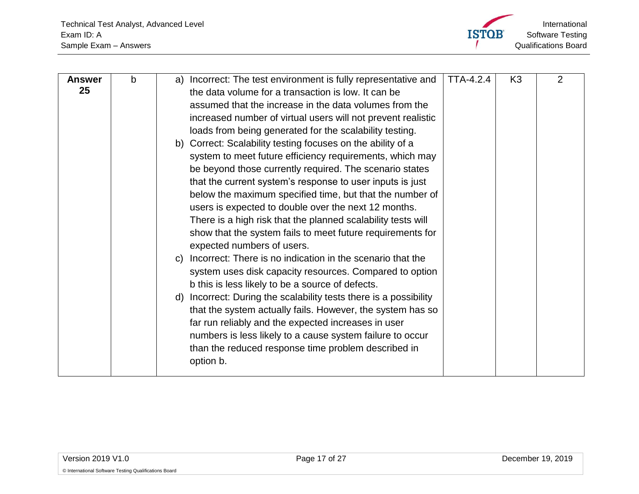

<span id="page-16-0"></span>

| <b>Answer</b> | b | Incorrect: The test environment is fully representative and<br>a) | TTA-4.2.4 | K <sub>3</sub> | 2 |
|---------------|---|-------------------------------------------------------------------|-----------|----------------|---|
| 25            |   | the data volume for a transaction is low. It can be               |           |                |   |
|               |   | assumed that the increase in the data volumes from the            |           |                |   |
|               |   | increased number of virtual users will not prevent realistic      |           |                |   |
|               |   | loads from being generated for the scalability testing.           |           |                |   |
|               |   | b) Correct: Scalability testing focuses on the ability of a       |           |                |   |
|               |   | system to meet future efficiency requirements, which may          |           |                |   |
|               |   | be beyond those currently required. The scenario states           |           |                |   |
|               |   | that the current system's response to user inputs is just         |           |                |   |
|               |   | below the maximum specified time, but that the number of          |           |                |   |
|               |   | users is expected to double over the next 12 months.              |           |                |   |
|               |   | There is a high risk that the planned scalability tests will      |           |                |   |
|               |   | show that the system fails to meet future requirements for        |           |                |   |
|               |   | expected numbers of users.                                        |           |                |   |
|               |   | Incorrect: There is no indication in the scenario that the<br>C)  |           |                |   |
|               |   | system uses disk capacity resources. Compared to option           |           |                |   |
|               |   | b this is less likely to be a source of defects.                  |           |                |   |
|               |   | d) Incorrect: During the scalability tests there is a possibility |           |                |   |
|               |   | that the system actually fails. However, the system has so        |           |                |   |
|               |   | far run reliably and the expected increases in user               |           |                |   |
|               |   | numbers is less likely to a cause system failure to occur         |           |                |   |
|               |   | than the reduced response time problem described in               |           |                |   |
|               |   | option b.                                                         |           |                |   |
|               |   |                                                                   |           |                |   |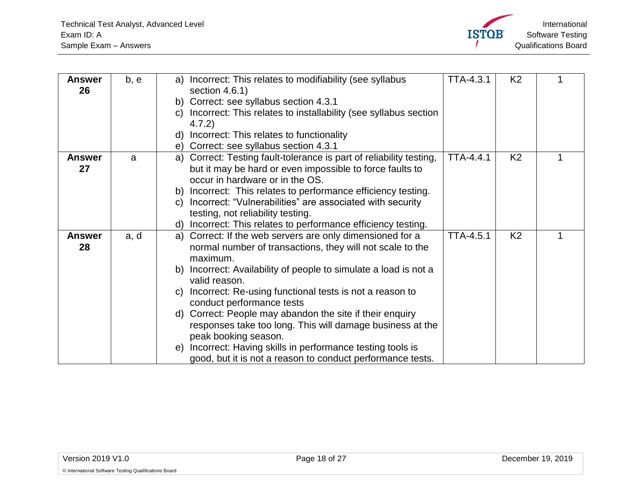

<span id="page-17-2"></span><span id="page-17-1"></span><span id="page-17-0"></span>

| b, e | Incorrect: This relates to modifiability (see syllabus<br>a)        | TTA-4.3.1                                                                                                                                                                                                                                                                                                                                                                                                                                                                                                                                                                                                                                                                                                                                                                                                                                                                                                                                               | K <sub>2</sub> |  |
|------|---------------------------------------------------------------------|---------------------------------------------------------------------------------------------------------------------------------------------------------------------------------------------------------------------------------------------------------------------------------------------------------------------------------------------------------------------------------------------------------------------------------------------------------------------------------------------------------------------------------------------------------------------------------------------------------------------------------------------------------------------------------------------------------------------------------------------------------------------------------------------------------------------------------------------------------------------------------------------------------------------------------------------------------|----------------|--|
|      |                                                                     |                                                                                                                                                                                                                                                                                                                                                                                                                                                                                                                                                                                                                                                                                                                                                                                                                                                                                                                                                         |                |  |
|      | b)                                                                  |                                                                                                                                                                                                                                                                                                                                                                                                                                                                                                                                                                                                                                                                                                                                                                                                                                                                                                                                                         |                |  |
|      | C)                                                                  |                                                                                                                                                                                                                                                                                                                                                                                                                                                                                                                                                                                                                                                                                                                                                                                                                                                                                                                                                         |                |  |
|      | 4.7.2)                                                              |                                                                                                                                                                                                                                                                                                                                                                                                                                                                                                                                                                                                                                                                                                                                                                                                                                                                                                                                                         |                |  |
|      | Incorrect: This relates to functionality<br>d)                      |                                                                                                                                                                                                                                                                                                                                                                                                                                                                                                                                                                                                                                                                                                                                                                                                                                                                                                                                                         |                |  |
|      | Correct: see syllabus section 4.3.1<br>e)                           |                                                                                                                                                                                                                                                                                                                                                                                                                                                                                                                                                                                                                                                                                                                                                                                                                                                                                                                                                         |                |  |
| a    | a) Correct: Testing fault-tolerance is part of reliability testing, | <b>TTA-4.4.1</b>                                                                                                                                                                                                                                                                                                                                                                                                                                                                                                                                                                                                                                                                                                                                                                                                                                                                                                                                        | K <sub>2</sub> |  |
|      | but it may be hard or even impossible to force faults to            |                                                                                                                                                                                                                                                                                                                                                                                                                                                                                                                                                                                                                                                                                                                                                                                                                                                                                                                                                         |                |  |
|      | occur in hardware or in the OS.                                     |                                                                                                                                                                                                                                                                                                                                                                                                                                                                                                                                                                                                                                                                                                                                                                                                                                                                                                                                                         |                |  |
|      | b)                                                                  |                                                                                                                                                                                                                                                                                                                                                                                                                                                                                                                                                                                                                                                                                                                                                                                                                                                                                                                                                         |                |  |
|      | C)                                                                  |                                                                                                                                                                                                                                                                                                                                                                                                                                                                                                                                                                                                                                                                                                                                                                                                                                                                                                                                                         |                |  |
|      |                                                                     |                                                                                                                                                                                                                                                                                                                                                                                                                                                                                                                                                                                                                                                                                                                                                                                                                                                                                                                                                         |                |  |
|      | d)                                                                  |                                                                                                                                                                                                                                                                                                                                                                                                                                                                                                                                                                                                                                                                                                                                                                                                                                                                                                                                                         |                |  |
|      | a)                                                                  | <b>TTA-4.5.1</b>                                                                                                                                                                                                                                                                                                                                                                                                                                                                                                                                                                                                                                                                                                                                                                                                                                                                                                                                        | K <sub>2</sub> |  |
|      |                                                                     |                                                                                                                                                                                                                                                                                                                                                                                                                                                                                                                                                                                                                                                                                                                                                                                                                                                                                                                                                         |                |  |
|      | maximum.                                                            |                                                                                                                                                                                                                                                                                                                                                                                                                                                                                                                                                                                                                                                                                                                                                                                                                                                                                                                                                         |                |  |
|      |                                                                     |                                                                                                                                                                                                                                                                                                                                                                                                                                                                                                                                                                                                                                                                                                                                                                                                                                                                                                                                                         |                |  |
|      |                                                                     |                                                                                                                                                                                                                                                                                                                                                                                                                                                                                                                                                                                                                                                                                                                                                                                                                                                                                                                                                         |                |  |
|      |                                                                     |                                                                                                                                                                                                                                                                                                                                                                                                                                                                                                                                                                                                                                                                                                                                                                                                                                                                                                                                                         |                |  |
|      |                                                                     |                                                                                                                                                                                                                                                                                                                                                                                                                                                                                                                                                                                                                                                                                                                                                                                                                                                                                                                                                         |                |  |
|      |                                                                     |                                                                                                                                                                                                                                                                                                                                                                                                                                                                                                                                                                                                                                                                                                                                                                                                                                                                                                                                                         |                |  |
|      |                                                                     |                                                                                                                                                                                                                                                                                                                                                                                                                                                                                                                                                                                                                                                                                                                                                                                                                                                                                                                                                         |                |  |
|      |                                                                     |                                                                                                                                                                                                                                                                                                                                                                                                                                                                                                                                                                                                                                                                                                                                                                                                                                                                                                                                                         |                |  |
|      |                                                                     |                                                                                                                                                                                                                                                                                                                                                                                                                                                                                                                                                                                                                                                                                                                                                                                                                                                                                                                                                         |                |  |
|      |                                                                     |                                                                                                                                                                                                                                                                                                                                                                                                                                                                                                                                                                                                                                                                                                                                                                                                                                                                                                                                                         |                |  |
|      | a, d                                                                | section 4.6.1)<br>Correct: see syllabus section 4.3.1<br>Incorrect: This relates to installability (see syllabus section<br>Incorrect: This relates to performance efficiency testing.<br>Incorrect: "Vulnerabilities" are associated with security<br>testing, not reliability testing.<br>Incorrect: This relates to performance efficiency testing.<br>Correct: If the web servers are only dimensioned for a<br>normal number of transactions, they will not scale to the<br>Incorrect: Availability of people to simulate a load is not a<br>b)<br>valid reason.<br>Incorrect: Re-using functional tests is not a reason to<br>C)<br>conduct performance tests<br>Correct: People may abandon the site if their enquiry<br>d)<br>responses take too long. This will damage business at the<br>peak booking season.<br>Incorrect: Having skills in performance testing tools is<br>e)<br>good, but it is not a reason to conduct performance tests. |                |  |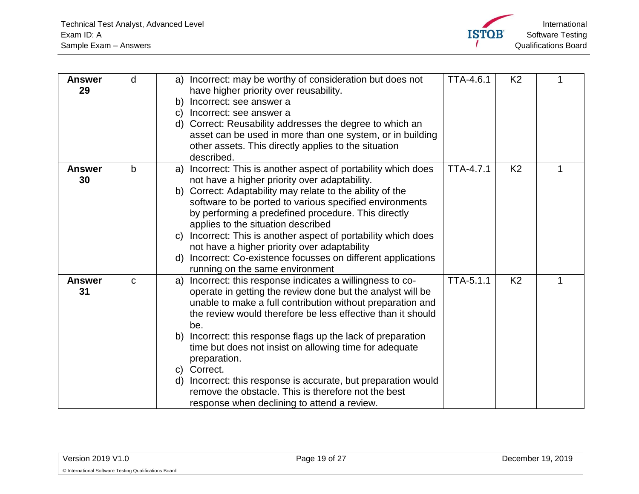

<span id="page-18-2"></span><span id="page-18-1"></span><span id="page-18-0"></span>

| <b>Answer</b><br>29 | d           | Incorrect: may be worthy of consideration but does not<br>a)<br>have higher priority over reusability.<br>Incorrect: see answer a<br>b)<br>Incorrect: see answer a<br>$\mathbf{C}$<br>Correct: Reusability addresses the degree to which an<br>d)<br>asset can be used in more than one system, or in building<br>other assets. This directly applies to the situation<br>described.                                                                                                                                                                                                                      | <b>TTA-4.6.1</b> | K <sub>2</sub> |   |
|---------------------|-------------|-----------------------------------------------------------------------------------------------------------------------------------------------------------------------------------------------------------------------------------------------------------------------------------------------------------------------------------------------------------------------------------------------------------------------------------------------------------------------------------------------------------------------------------------------------------------------------------------------------------|------------------|----------------|---|
| <b>Answer</b><br>30 | b           | Incorrect: This is another aspect of portability which does<br>a)<br>not have a higher priority over adaptability.<br>Correct: Adaptability may relate to the ability of the<br>b)<br>software to be ported to various specified environments<br>by performing a predefined procedure. This directly<br>applies to the situation described<br>Incorrect: This is another aspect of portability which does<br>$\mathsf{C}$<br>not have a higher priority over adaptability<br>Incorrect: Co-existence focusses on different applications<br>d)<br>running on the same environment                          | <b>TTA-4.7.1</b> | K <sub>2</sub> | 1 |
| <b>Answer</b><br>31 | $\mathbf C$ | Incorrect: this response indicates a willingness to co-<br>a)<br>operate in getting the review done but the analyst will be<br>unable to make a full contribution without preparation and<br>the review would therefore be less effective than it should<br>be.<br>Incorrect: this response flags up the lack of preparation<br>b)<br>time but does not insist on allowing time for adequate<br>preparation.<br>Correct.<br>C)<br>Incorrect: this response is accurate, but preparation would<br>d)<br>remove the obstacle. This is therefore not the best<br>response when declining to attend a review. | <b>TTA-5.1.1</b> | K <sub>2</sub> | 1 |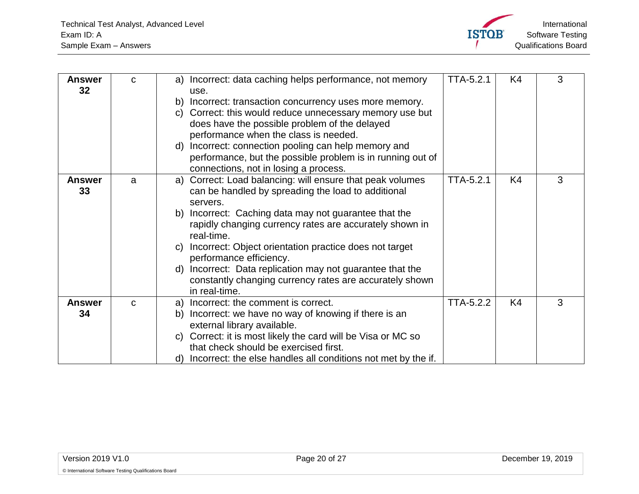

<span id="page-19-2"></span><span id="page-19-1"></span><span id="page-19-0"></span>

| <b>Answer</b><br>32 <sub>2</sub> | C | Incorrect: data caching helps performance, not memory<br>a)<br>use.                                                       | <b>TTA-5.2.1</b> | K <sub>4</sub> | 3 |
|----------------------------------|---|---------------------------------------------------------------------------------------------------------------------------|------------------|----------------|---|
|                                  |   | Incorrect: transaction concurrency uses more memory.<br>b)<br>Correct: this would reduce unnecessary memory use but<br>C) |                  |                |   |
|                                  |   | does have the possible problem of the delayed                                                                             |                  |                |   |
|                                  |   | performance when the class is needed.                                                                                     |                  |                |   |
|                                  |   | Incorrect: connection pooling can help memory and<br>d)                                                                   |                  |                |   |
|                                  |   | performance, but the possible problem is in running out of<br>connections, not in losing a process.                       |                  |                |   |
| <b>Answer</b>                    | a | Correct: Load balancing: will ensure that peak volumes<br>a)                                                              | <b>TTA-5.2.1</b> | K4             | 3 |
| 33                               |   | can be handled by spreading the load to additional                                                                        |                  |                |   |
|                                  |   | servers.                                                                                                                  |                  |                |   |
|                                  |   | Incorrect: Caching data may not guarantee that the<br>b)                                                                  |                  |                |   |
|                                  |   | rapidly changing currency rates are accurately shown in<br>real-time.                                                     |                  |                |   |
|                                  |   | Incorrect: Object orientation practice does not target<br>C)<br>performance efficiency.                                   |                  |                |   |
|                                  |   | Incorrect: Data replication may not guarantee that the<br>d)                                                              |                  |                |   |
|                                  |   | constantly changing currency rates are accurately shown                                                                   |                  |                |   |
|                                  |   | in real-time.                                                                                                             |                  |                |   |
| <b>Answer</b>                    | C | Incorrect: the comment is correct.<br>a)                                                                                  | TTA-5.2.2        | K4             | 3 |
| 34                               |   | Incorrect: we have no way of knowing if there is an<br>b)                                                                 |                  |                |   |
|                                  |   | external library available.                                                                                               |                  |                |   |
|                                  |   | c) Correct: it is most likely the card will be Visa or MC so                                                              |                  |                |   |
|                                  |   | that check should be exercised first.                                                                                     |                  |                |   |
|                                  |   | d) Incorrect: the else handles all conditions not met by the if.                                                          |                  |                |   |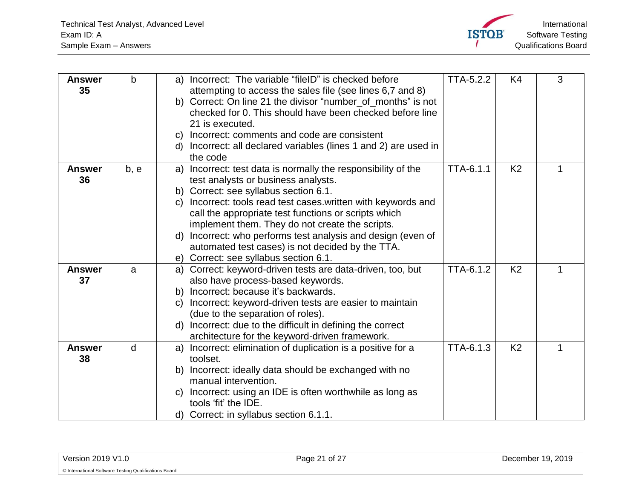

<span id="page-20-3"></span><span id="page-20-2"></span><span id="page-20-1"></span><span id="page-20-0"></span>

| <b>Answer</b>       | b    | Incorrect: The variable "fileID" is checked before<br>a)                          | TTA-5.2.2 | K4             | 3 |
|---------------------|------|-----------------------------------------------------------------------------------|-----------|----------------|---|
| 35                  |      | attempting to access the sales file (see lines 6,7 and 8)                         |           |                |   |
|                     |      | b) Correct: On line 21 the divisor "number_of_months" is not                      |           |                |   |
|                     |      | checked for 0. This should have been checked before line                          |           |                |   |
|                     |      | 21 is executed.                                                                   |           |                |   |
|                     |      | Incorrect: comments and code are consistent<br>$\mathsf{C}$                       |           |                |   |
|                     |      | Incorrect: all declared variables (lines 1 and 2) are used in<br>d)               |           |                |   |
|                     |      | the code                                                                          |           |                |   |
| <b>Answer</b>       | b, e | Incorrect: test data is normally the responsibility of the<br>a)                  | TTA-6.1.1 | K <sub>2</sub> | 1 |
| 36                  |      | test analysts or business analysts.                                               |           |                |   |
|                     |      | b) Correct: see syllabus section 6.1.                                             |           |                |   |
|                     |      | Incorrect: tools read test cases written with keywords and<br>C)                  |           |                |   |
|                     |      | call the appropriate test functions or scripts which                              |           |                |   |
|                     |      | implement them. They do not create the scripts.                                   |           |                |   |
|                     |      | Incorrect: who performs test analysis and design (even of<br>d)                   |           |                |   |
|                     |      | automated test cases) is not decided by the TTA.                                  |           |                |   |
|                     |      | Correct: see syllabus section 6.1.<br>e)                                          |           |                |   |
| <b>Answer</b>       | a    | Correct: keyword-driven tests are data-driven, too, but<br>a)                     | TTA-6.1.2 | K <sub>2</sub> | 1 |
| 37                  |      | also have process-based keywords.                                                 |           |                |   |
|                     |      | Incorrect: because it's backwards.<br>b)                                          |           |                |   |
|                     |      | Incorrect: keyword-driven tests are easier to maintain<br>$\mathsf{C}$            |           |                |   |
|                     |      | (due to the separation of roles).                                                 |           |                |   |
|                     |      | Incorrect: due to the difficult in defining the correct<br>d)                     |           |                |   |
|                     |      | architecture for the keyword-driven framework.                                    |           |                |   |
| <b>Answer</b><br>38 | d    | Incorrect: elimination of duplication is a positive for a<br>a)<br>toolset.       | TTA-6.1.3 | K <sub>2</sub> |   |
|                     |      |                                                                                   |           |                |   |
|                     |      | Incorrect: ideally data should be exchanged with no<br>b)<br>manual intervention. |           |                |   |
|                     |      | Incorrect: using an IDE is often worthwhile as long as<br>C)                      |           |                |   |
|                     |      | tools 'fit' the IDE.                                                              |           |                |   |
|                     |      | d) Correct: in syllabus section 6.1.1.                                            |           |                |   |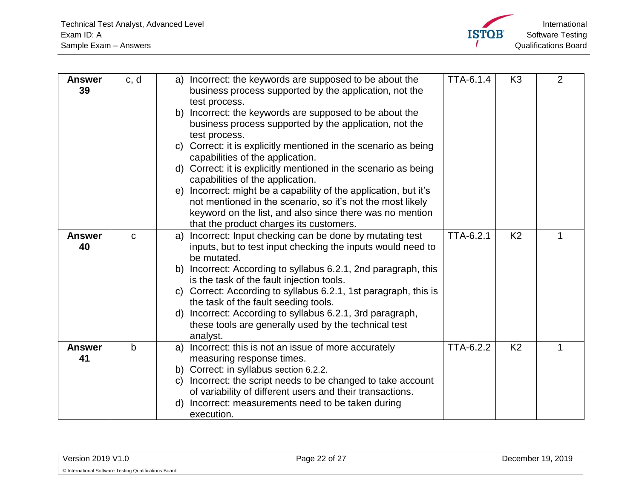

<span id="page-21-2"></span><span id="page-21-1"></span><span id="page-21-0"></span>

| <b>Answer</b><br>39 | c, d        | Incorrect: the keywords are supposed to be about the<br>a)<br>business process supported by the application, not the<br>test process.<br>Incorrect: the keywords are supposed to be about the<br>b)<br>business process supported by the application, not the<br>test process.<br>Correct: it is explicitly mentioned in the scenario as being<br>C)<br>capabilities of the application.<br>d) Correct: it is explicitly mentioned in the scenario as being<br>capabilities of the application.<br>e) Incorrect: might be a capability of the application, but it's<br>not mentioned in the scenario, so it's not the most likely<br>keyword on the list, and also since there was no mention<br>that the product charges its customers. | TTA-6.1.4        | K <sub>3</sub> | $\overline{2}$ |
|---------------------|-------------|------------------------------------------------------------------------------------------------------------------------------------------------------------------------------------------------------------------------------------------------------------------------------------------------------------------------------------------------------------------------------------------------------------------------------------------------------------------------------------------------------------------------------------------------------------------------------------------------------------------------------------------------------------------------------------------------------------------------------------------|------------------|----------------|----------------|
| <b>Answer</b><br>40 | $\mathbf C$ | Incorrect: Input checking can be done by mutating test<br>a)<br>inputs, but to test input checking the inputs would need to<br>be mutated.<br>b) Incorrect: According to syllabus 6.2.1, 2nd paragraph, this<br>is the task of the fault injection tools.<br>c) Correct: According to syllabus 6.2.1, 1st paragraph, this is<br>the task of the fault seeding tools.<br>Incorrect: According to syllabus 6.2.1, 3rd paragraph,<br>d)<br>these tools are generally used by the technical test<br>analyst.                                                                                                                                                                                                                                 | <b>TTA-6.2.1</b> | K <sub>2</sub> |                |
| <b>Answer</b><br>41 | b           | Incorrect: this is not an issue of more accurately<br>a)<br>measuring response times.<br>b) Correct: in syllabus section 6.2.2.<br>Incorrect: the script needs to be changed to take account<br>C)<br>of variability of different users and their transactions.<br>Incorrect: measurements need to be taken during<br>d)<br>execution.                                                                                                                                                                                                                                                                                                                                                                                                   | TTA-6.2.2        | K <sub>2</sub> |                |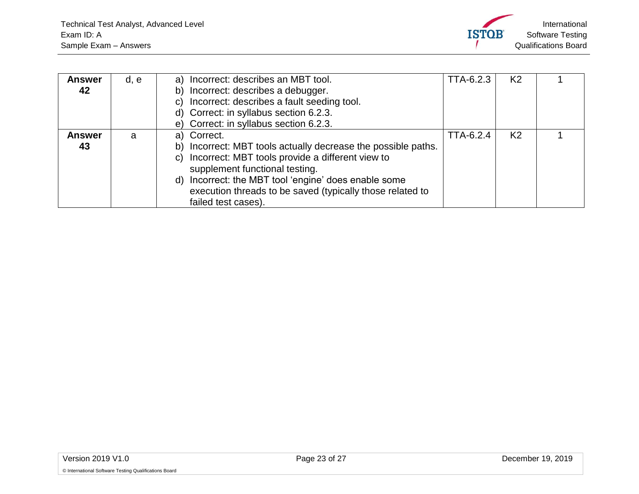

<span id="page-22-1"></span><span id="page-22-0"></span>

| <b>Answer</b> | d, e | a) Incorrect: describes an MBT tool.                              | TTA-6.2.3 | K2             |  |
|---------------|------|-------------------------------------------------------------------|-----------|----------------|--|
| 42            |      | Incorrect: describes a debugger.<br>b).                           |           |                |  |
|               |      | Incorrect: describes a fault seeding tool.<br>C)                  |           |                |  |
|               |      | d) Correct: in syllabus section 6.2.3.                            |           |                |  |
|               |      | e) Correct: in syllabus section 6.2.3.                            |           |                |  |
| <b>Answer</b> | a    | Correct.<br>a)                                                    | TTA-6.2.4 | K <sub>2</sub> |  |
| 43            |      | Incorrect: MBT tools actually decrease the possible paths.<br>b)  |           |                |  |
|               |      | Incorrect: MBT tools provide a different view to<br>C)            |           |                |  |
|               |      | supplement functional testing.                                    |           |                |  |
|               |      | Incorrect: the MBT tool 'engine' does enable some<br>$\mathsf{d}$ |           |                |  |
|               |      | execution threads to be saved (typically those related to         |           |                |  |
|               |      | failed test cases).                                               |           |                |  |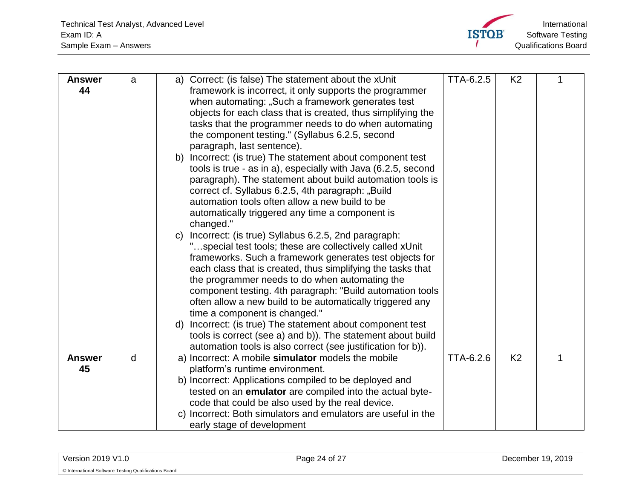

<span id="page-23-1"></span><span id="page-23-0"></span>

| <b>Answer</b><br>44 | a | Correct: (is false) The statement about the xUnit<br>a)<br>framework is incorrect, it only supports the programmer<br>when automating: "Such a framework generates test<br>objects for each class that is created, thus simplifying the<br>tasks that the programmer needs to do when automating<br>the component testing." (Syllabus 6.2.5, second<br>paragraph, last sentence).<br>Incorrect: (is true) The statement about component test<br>b)<br>tools is true - as in a), especially with Java (6.2.5, second<br>paragraph). The statement about build automation tools is<br>correct cf. Syllabus 6.2.5, 4th paragraph: "Build<br>automation tools often allow a new build to be<br>automatically triggered any time a component is<br>changed."<br>Incorrect: (is true) Syllabus 6.2.5, 2nd paragraph:<br>C)<br>"special test tools; these are collectively called xUnit<br>frameworks. Such a framework generates test objects for<br>each class that is created, thus simplifying the tasks that<br>the programmer needs to do when automating the<br>component testing. 4th paragraph: "Build automation tools<br>often allow a new build to be automatically triggered any<br>time a component is changed."<br>d) Incorrect: (is true) The statement about component test<br>tools is correct (see a) and b)). The statement about build | TTA-6.2.5 | K <sub>2</sub> |   |
|---------------------|---|------------------------------------------------------------------------------------------------------------------------------------------------------------------------------------------------------------------------------------------------------------------------------------------------------------------------------------------------------------------------------------------------------------------------------------------------------------------------------------------------------------------------------------------------------------------------------------------------------------------------------------------------------------------------------------------------------------------------------------------------------------------------------------------------------------------------------------------------------------------------------------------------------------------------------------------------------------------------------------------------------------------------------------------------------------------------------------------------------------------------------------------------------------------------------------------------------------------------------------------------------------------------------------------------------------------------------------------------------|-----------|----------------|---|
|                     |   | automation tools is also correct (see justification for b)).                                                                                                                                                                                                                                                                                                                                                                                                                                                                                                                                                                                                                                                                                                                                                                                                                                                                                                                                                                                                                                                                                                                                                                                                                                                                                         |           |                |   |
| <b>Answer</b><br>45 | d | a) Incorrect: A mobile simulator models the mobile<br>platform's runtime environment.<br>b) Incorrect: Applications compiled to be deployed and<br>tested on an emulator are compiled into the actual byte-<br>code that could be also used by the real device.<br>c) Incorrect: Both simulators and emulators are useful in the<br>early stage of development                                                                                                                                                                                                                                                                                                                                                                                                                                                                                                                                                                                                                                                                                                                                                                                                                                                                                                                                                                                       | TTA-6.2.6 | K <sub>2</sub> | 1 |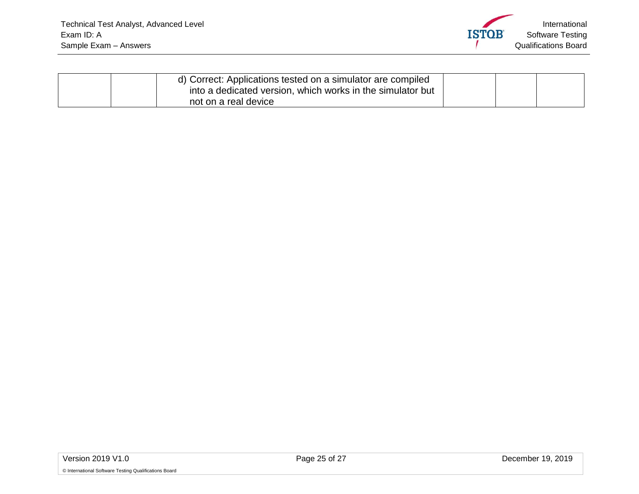

| d) Correct: Applications tested on a simulator are compiled<br>into a dedicated version, which works in the simulator but |  |  |
|---------------------------------------------------------------------------------------------------------------------------|--|--|
| not on a real device                                                                                                      |  |  |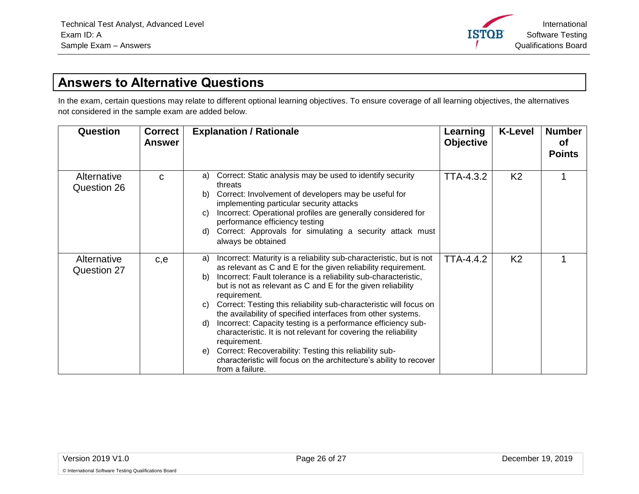International **ISTOB** Software Testing Qualifications Board

#### **Answers to Alternative Questions**

In the exam, certain questions may relate to different optional learning objectives. To ensure coverage of all learning objectives, the alternatives not considered in the sample exam are added below.

<span id="page-25-2"></span><span id="page-25-1"></span><span id="page-25-0"></span>

| Question                   | <b>Correct</b><br><b>Answer</b> | <b>Explanation / Rationale</b>                                                                                                                                                                                                                                                                                                                                                                                                                                                                                                                                                                                                                                                                                                                                   | Learning<br><b>Objective</b> | <b>K-Level</b> | <b>Number</b><br><b>of</b><br><b>Points</b> |
|----------------------------|---------------------------------|------------------------------------------------------------------------------------------------------------------------------------------------------------------------------------------------------------------------------------------------------------------------------------------------------------------------------------------------------------------------------------------------------------------------------------------------------------------------------------------------------------------------------------------------------------------------------------------------------------------------------------------------------------------------------------------------------------------------------------------------------------------|------------------------------|----------------|---------------------------------------------|
| Alternative<br>Question 26 | C                               | Correct: Static analysis may be used to identify security<br>a)<br>threats<br>Correct: Involvement of developers may be useful for<br>b)<br>implementing particular security attacks<br>Incorrect: Operational profiles are generally considered for<br>C)<br>performance efficiency testing<br>Correct: Approvals for simulating a security attack must<br>d)<br>always be obtained                                                                                                                                                                                                                                                                                                                                                                             | <b>TTA-4.3.2</b>             | K <sub>2</sub> |                                             |
| Alternative<br>Question 27 | c,e                             | Incorrect: Maturity is a reliability sub-characteristic, but is not<br>a)<br>as relevant as C and E for the given reliability requirement.<br>Incorrect: Fault tolerance is a reliability sub-characteristic,<br>b)<br>but is not as relevant as C and E for the given reliability<br>requirement.<br>Correct: Testing this reliability sub-characteristic will focus on<br>C)<br>the availability of specified interfaces from other systems.<br>Incorrect: Capacity testing is a performance efficiency sub-<br>d)<br>characteristic. It is not relevant for covering the reliability<br>requirement.<br>Correct: Recoverability: Testing this reliability sub-<br>e)<br>characteristic will focus on the architecture's ability to recover<br>from a failure. | <b>TTA-4.4.2</b>             | K <sub>2</sub> |                                             |